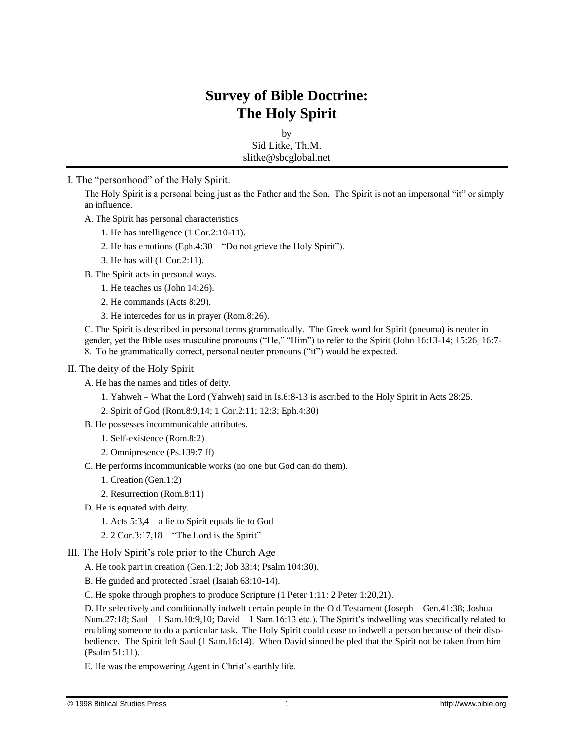## **Survey of Bible Doctrine: The Holy Spirit**

by Sid Litke, Th.M. slitke@sbcglobal.net

I. The "personhood" of the Holy Spirit.

The Holy Spirit is a personal being just as the Father and the Son. The Spirit is not an impersonal "it" or simply an influence.

A. The Spirit has personal characteristics.

- 1. He has intelligence (1 Cor.2:10-11).
- 2. He has emotions (Eph.4:30 "Do not grieve the Holy Spirit").
- 3. He has will (1 Cor.2:11).

B. The Spirit acts in personal ways.

- 1. He teaches us (John 14:26).
- 2. He commands (Acts 8:29).
- 3. He intercedes for us in prayer (Rom.8:26).

C. The Spirit is described in personal terms grammatically. The Greek word for Spirit (pneuma) is neuter in gender, yet the Bible uses masculine pronouns ("He," "Him") to refer to the Spirit (John 16:13-14; 15:26; 16:7- 8. To be grammatically correct, personal neuter pronouns ("it") would be expected.

## II. The deity of the Holy Spirit

A. He has the names and titles of deity.

- 1. Yahweh What the Lord (Yahweh) said in Is.6:8-13 is ascribed to the Holy Spirit in Acts 28:25.
- 2. Spirit of God (Rom.8:9,14; 1 Cor.2:11; 12:3; Eph.4:30)
- B. He possesses incommunicable attributes.
	- 1. Self-existence (Rom.8:2)
	- 2. Omnipresence (Ps.139:7 ff)
- C. He performs incommunicable works (no one but God can do them).
	- 1. Creation (Gen.1:2)
	- 2. Resurrection (Rom.8:11)
- D. He is equated with deity.
	- 1. Acts 5:3,4 a lie to Spirit equals lie to God
	- 2. 2 Cor.3:17,18 "The Lord is the Spirit"

## III. The Holy Spirit's role prior to the Church Age

A. He took part in creation (Gen.1:2; Job 33:4; Psalm 104:30).

B. He guided and protected Israel (Isaiah 63:10-14).

C. He spoke through prophets to produce Scripture (1 Peter 1:11: 2 Peter 1:20,21).

D. He selectively and conditionally indwelt certain people in the Old Testament (Joseph – Gen.41:38; Joshua – Num.27:18; Saul – 1 Sam.10:9,10; David – 1 Sam.16:13 etc.). The Spirit's indwelling was specifically related to enabling someone to do a particular task. The Holy Spirit could cease to indwell a person because of their disobedience. The Spirit left Saul (1 Sam.16:14). When David sinned he pled that the Spirit not be taken from him (Psalm 51:11).

E. He was the empowering Agent in Christ's earthly life.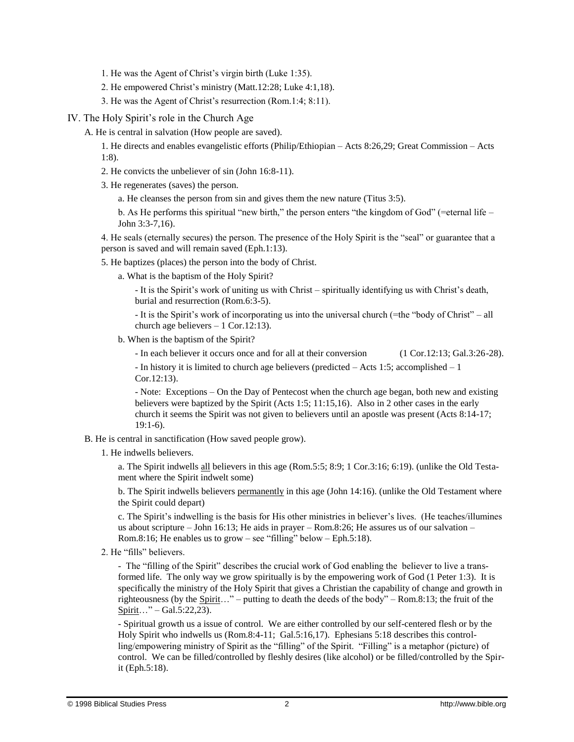- 1. He was the Agent of Christ's virgin birth (Luke 1:35).
- 2. He empowered Christ's ministry (Matt.12:28; Luke 4:1,18).
- 3. He was the Agent of Christ's resurrection (Rom.1:4; 8:11).
- IV. The Holy Spirit's role in the Church Age
	- A. He is central in salvation (How people are saved).
		- 1. He directs and enables evangelistic efforts (Philip/Ethiopian Acts 8:26,29; Great Commission Acts 1:8).
		- 2. He convicts the unbeliever of sin (John 16:8-11).
		- 3. He regenerates (saves) the person.
			- a. He cleanses the person from sin and gives them the new nature (Titus 3:5).

b. As He performs this spiritual "new birth," the person enters "the kingdom of God" (=eternal life – John 3:3-7,16).

4. He seals (eternally secures) the person. The presence of the Holy Spirit is the "seal" or guarantee that a person is saved and will remain saved (Eph.1:13).

- 5. He baptizes (places) the person into the body of Christ.
	- a. What is the baptism of the Holy Spirit?
		- It is the Spirit's work of uniting us with Christ spiritually identifying us with Christ's death, burial and resurrection (Rom.6:3-5).

- It is the Spirit's work of incorporating us into the universal church (=the "body of Christ" – all church age believers – 1 Cor.12:13).

- b. When is the baptism of the Spirit?
	- In each believer it occurs once and for all at their conversion (1 Cor.12:13; Gal.3:26-28).

- In history it is limited to church age believers (predicted – Acts 1:5; accomplished – 1 Cor.12:13).

- Note: Exceptions – On the Day of Pentecost when the church age began, both new and existing believers were baptized by the Spirit (Acts 1:5; 11:15,16). Also in 2 other cases in the early church it seems the Spirit was not given to believers until an apostle was present (Acts 8:14-17; 19:1-6).

- B. He is central in sanctification (How saved people grow).
	- 1. He indwells believers.

a. The Spirit indwells all believers in this age (Rom.5:5; 8:9; 1 Cor.3:16; 6:19). (unlike the Old Testament where the Spirit indwelt some)

b. The Spirit indwells believers permanently in this age (John 14:16). (unlike the Old Testament where the Spirit could depart)

c. The Spirit's indwelling is the basis for His other ministries in believer's lives. (He teaches/illumines us about scripture – John 16:13; He aids in prayer – Rom.8:26; He assures us of our salvation – Rom.8:16; He enables us to grow – see "filling" below – Eph.5:18).

2. He "fills" believers.

- The "filling of the Spirit" describes the crucial work of God enabling the believer to live a transformed life. The only way we grow spiritually is by the empowering work of God (1 Peter 1:3). It is specifically the ministry of the Holy Spirit that gives a Christian the capability of change and growth in righteousness (by the  $\frac{Spirit...}{-}$  putting to death the deeds of the body" – Rom.8:13; the fruit of the  $Spirit...$ " – Gal.5:22,23).

- Spiritual growth us a issue of control. We are either controlled by our self-centered flesh or by the Holy Spirit who indwells us (Rom.8:4-11; Gal.5:16,17). Ephesians 5:18 describes this controlling/empowering ministry of Spirit as the "filling" of the Spirit. "Filling" is a metaphor (picture) of control. We can be filled/controlled by fleshly desires (like alcohol) or be filled/controlled by the Spirit (Eph.5:18).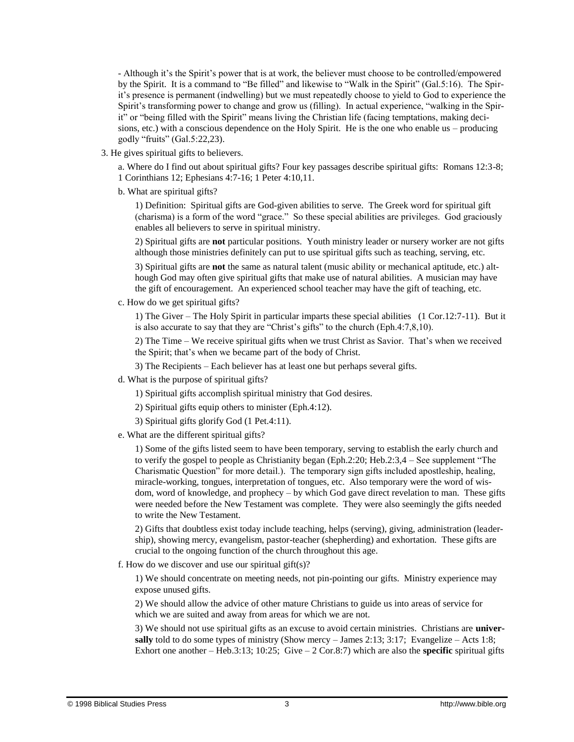- Although it's the Spirit's power that is at work, the believer must choose to be controlled/empowered by the Spirit. It is a command to "Be filled" and likewise to "Walk in the Spirit" (Gal.5:16). The Spirit's presence is permanent (indwelling) but we must repeatedly choose to yield to God to experience the Spirit's transforming power to change and grow us (filling). In actual experience, "walking in the Spirit" or "being filled with the Spirit" means living the Christian life (facing temptations, making decisions, etc.) with a conscious dependence on the Holy Spirit. He is the one who enable us – producing godly "fruits" (Gal.5:22,23).

3. He gives spiritual gifts to believers.

a. Where do I find out about spiritual gifts? Four key passages describe spiritual gifts: Romans 12:3-8; 1 Corinthians 12; Ephesians 4:7-16; 1 Peter 4:10,11.

b. What are spiritual gifts?

1) Definition: Spiritual gifts are God-given abilities to serve. The Greek word for spiritual gift (charisma) is a form of the word "grace." So these special abilities are privileges. God graciously enables all believers to serve in spiritual ministry.

2) Spiritual gifts are **not** particular positions. Youth ministry leader or nursery worker are not gifts although those ministries definitely can put to use spiritual gifts such as teaching, serving, etc.

3) Spiritual gifts are **not** the same as natural talent (music ability or mechanical aptitude, etc.) although God may often give spiritual gifts that make use of natural abilities. A musician may have the gift of encouragement. An experienced school teacher may have the gift of teaching, etc.

c. How do we get spiritual gifts?

1) The Giver – The Holy Spirit in particular imparts these special abilities (1 Cor.12:7-11). But it is also accurate to say that they are "Christ's gifts" to the church (Eph.4:7,8,10).

2) The Time – We receive spiritual gifts when we trust Christ as Savior. That's when we received the Spirit; that's when we became part of the body of Christ.

- 3) The Recipients Each believer has at least one but perhaps several gifts.
- d. What is the purpose of spiritual gifts?
	- 1) Spiritual gifts accomplish spiritual ministry that God desires.
	- 2) Spiritual gifts equip others to minister (Eph.4:12).
	- 3) Spiritual gifts glorify God (1 Pet.4:11).
- e. What are the different spiritual gifts?

1) Some of the gifts listed seem to have been temporary, serving to establish the early church and to verify the gospel to people as Christianity began (Eph.2:20; Heb.2:3,4 – See supplement "The Charismatic Question" for more detail.). The temporary sign gifts included apostleship, healing, miracle-working, tongues, interpretation of tongues, etc. Also temporary were the word of wisdom, word of knowledge, and prophecy – by which God gave direct revelation to man. These gifts were needed before the New Testament was complete. They were also seemingly the gifts needed to write the New Testament.

2) Gifts that doubtless exist today include teaching, helps (serving), giving, administration (leadership), showing mercy, evangelism, pastor-teacher (shepherding) and exhortation. These gifts are crucial to the ongoing function of the church throughout this age.

f. How do we discover and use our spiritual gift(s)?

1) We should concentrate on meeting needs, not pin-pointing our gifts. Ministry experience may expose unused gifts.

2) We should allow the advice of other mature Christians to guide us into areas of service for which we are suited and away from areas for which we are not.

3) We should not use spiritual gifts as an excuse to avoid certain ministries. Christians are **universally** told to do some types of ministry (Show mercy – James 2:13; 3:17; Evangelize – Acts 1:8; Exhort one another – Heb.3:13;  $10:25$ ; Give – 2 Cor.8:7) which are also the **specific** spiritual gifts